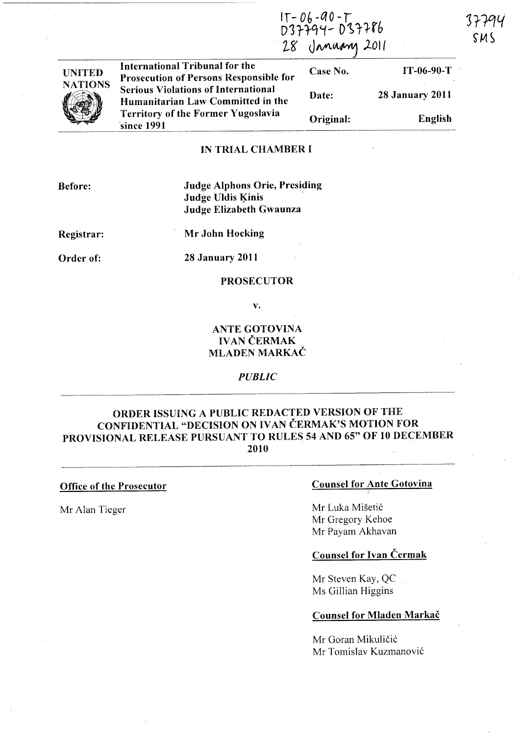$T - 06 - 90 - T$ 037794- 037786 28 January 2011

SM S



International Tribunal for the Case No. IT-06-90-T Prosecution of Persons Responsible for Serious Violations of International Humanitarian Law Committed in the Territory of the Former Yugoslavia 'since 1991

Date: 28 January 2011 Original: English

## IN TRIAL CHAMBER I

Before:

Judge Alphons Orie, Presiding Judge Uldis Kinis Judge Elizabeth Gwaunza

Registrar:

Mr John Hocking

Order of:

28 January 2011

#### PROSECUTOR

v.

# ANTE GOTOVINA **IVAN ČERMAK** MLADEN MARKAC

*PUBLIC* 

# ORDER ISSUING A PUBLIC REDACTED VERSION OF THE CONFIDENTIAL "DECISION ON IVAN ČERMAK'S MOTION FOR PROVISIONAL RELEASE PURSUANT TO RULES 54 AND 65" OF 10 DECEMBER 2010

Office of the Prosecutor

Mr Alan Tieger

## Counsel for Ante Gotovina

Mr Luka Misetic Mr Oregory Kehoe Mr Payam Akhavan

# Counsel for Ivan Cermak

Mr Steven Kay, QC Ms Oillian Higgins

#### Counsel for Mladen Markac

Mr Goran Mikuličić Mr Tomislav Kuzmanovi6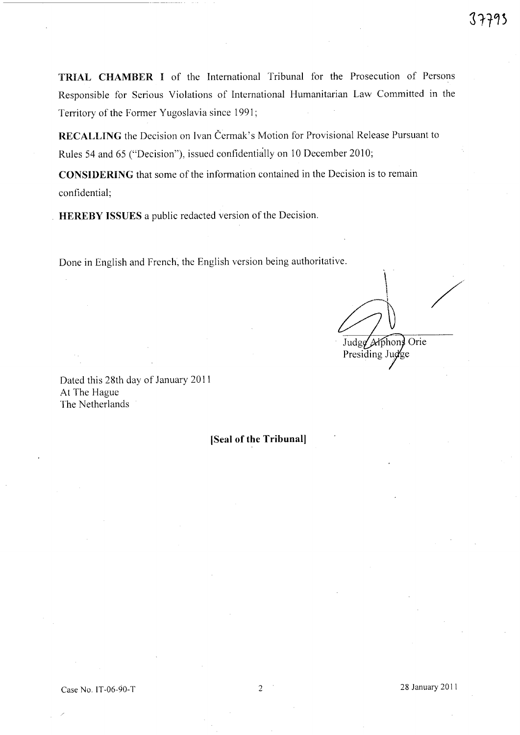**TRIAL CHAMBER I** of the International Tribunal for the Prosecution of Persons Responsible for Serious Violations of International Humanitarian Law Committed in the Territory of the Former Yugoslavia since 1991;

**RECALLING** the Decision on Ivan Čermak's Motion for Provisional Release Pursuant to Rules 54 and 65 ("Decision"), issued confidentially on 10 December 2010;

**CONSIDERING** that some of the information contained in the Decision is to remain confidential;

**HEREBY ISSUES** a public redacted version of the Decision.

Done in English and French, the English version being authoritative.

/ Judge Alphone Orie Presiding Judge

Dated this 28th day of January 2011 At The Hague The Netherlands

**(Seal of the Tribunal]**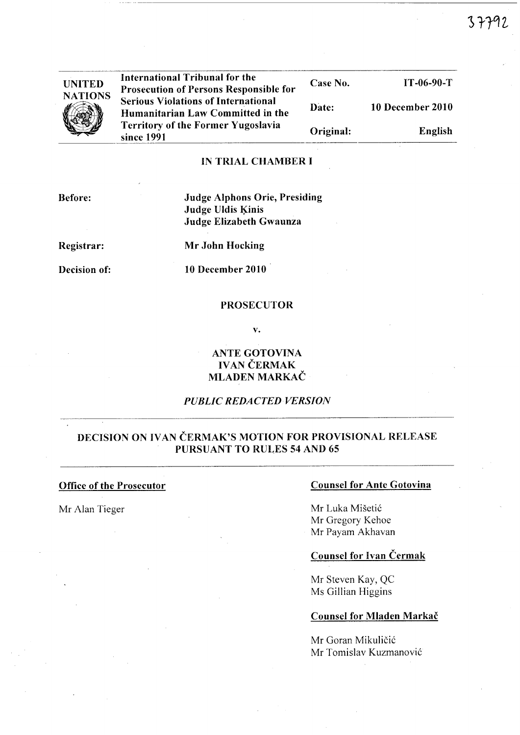37792

| <b>UNITED</b><br><b>NATIONS</b> | International Tribunal for the<br><b>Prosecution of Persons Responsible for</b> | Case No.  | $IT-06-90-T$     |
|---------------------------------|---------------------------------------------------------------------------------|-----------|------------------|
|                                 | <b>Serious Violations of International</b><br>Humanitarian Law Committed in the | Date:     | 10 December 2010 |
|                                 | <b>Territory of the Former Yugoslavia</b><br>since 1991                         | Original: | English          |

## IN TRIAL CHAMBER I

- - ------------------------------------

Before:

Judge Alphons Orie, Presiding Judge Uldis Kinis Judge Elizabeth Gwaunza

Registrar:

Decision of:

Mr John Hocking

 $10$  December  $2010$ 

#### PROSECUTOR

v.

ANTE GOTOVINA IVAN ČERMAK MLADEN MARKAČ

# *PUBLIC REDACTED VERSION*

# DECISION ON IVAN ČERMAK'S MOTION FOR PROVISIONAL RELEASE PURSUANT TO RULES 54 AND 65

## Office of the Prosecutor

Mr Alan Tieger

### Counsel for Ante Gotovina

Mr Luka Mišetić Mr Gregory Kehoe Mr Payam Akhavan

# Counsel for Ivan Cermak

Mr Steven Kay, QC Ms Gillian Higgins

#### Counsel for Mladen Markač

Mr Goran Mikuličić Mr Tomislav Kuzmanovic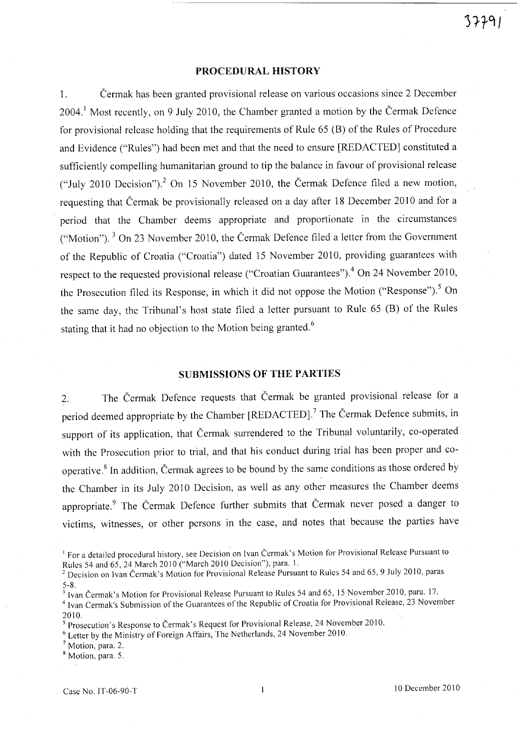## PROCEDURAL HISTORY

1. Cermak has been granted provisional release on various occasions since 2 December 2004.' Most recently, on 9 July 2010, the Chamber granted a motion by the Cermak Defence for provisional release holding that the requirements of Rule 65 (B) of the Rules of Procedure and Evidence ("Rules") had been met and that the need to ensure [REDACTED] constituted a sufficiently compelling humanitarian ground to tip the balance in favour of provisional release ("July 2010 Decision")? On 15 November 2010, the Cermak Defence filed a new motion, requesting that Cermak be provisionally released on a day after 18 December 2010 and for a period that the Chamber deems appropriate and proportionate in the circumstances ("Motion"). 3 On 23 November 2010, the Cermak Defence filed a letter from the Government of the Republic of Croatia ("Croatia") dated 15 November 2010, providing guarantees with respect to the requested provisional release ("Croatian Guarantees").<sup>4</sup> On 24 November 2010, the Prosecution filed its Response, in which it did not oppose the Motion ("Response").<sup>5</sup> On the same day, the Tribunal's host state filed a letter pursuant to Rule 65 (B) of the Rules stating that it had no objection to the Motion being granted.<sup>6</sup>

# SUBMISSIONS OF THE PARTIES

2. The Cermak Defence requests that Cermak be granted provisional release for a period deemed appropriate by the Chamber [REDACTED].<sup>7</sup> The Čermak Defence submits, in support of its application, that Cermak surrendered to the Tribunal voluntarily, co-operated with the Prosecution prior to trial, and that his conduct during trial has been proper and cooperative.<sup>8</sup> In addition, Čermak agrees to be bound by the same conditions as those ordered by the Chamber in its July 2010 Decision, as well as any other measures the Chamber deems appropriate.<sup>9</sup> The Čermak Defence further submits that Čermak never posed a danger to victims, witnesses, or other persons in the case, and notes that because the parties have

<sup>3</sup> Ivan Čermak's Motion for Provisional Release Pursuant to Rules 54 and 65, 15 November 2010, para. 17.

<sup>4</sup> Ivan Cermak's Submission of the Guarantees of the Republic of Croatia for Provisional Release, 23 November 2010. .

 $<sup>7</sup>$  Motion, para. 2.</sup>

<sup>&</sup>lt;sup>1</sup> For a detailed procedural history, see Decision on Ivan Čermak's Motion for Provisional Release Pursuant to Rules 54 and 65, 24 March 2010 ("March 2010 Decision"), para. 1.

<sup>&</sup>lt;sup>2</sup> Decision on Ivan Čermak's Motion for Provisional Release Pursuant to Rules 54 and 65, 9 July 2010, paras 5-8.

<sup>5</sup> Prosecution's Response to Cermak's Request for Provisional Release, 24 November 2010.

<sup>6</sup> Letter by the Ministry of Foreign Affairs, The Netherlands, 24 November 2010.

<sup>8</sup> Motion, para. 5.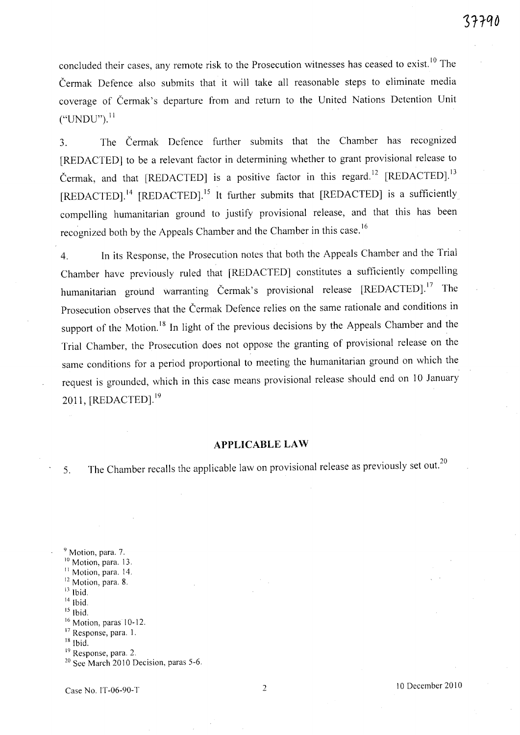concluded their cases, any remote risk to the Prosecution witnesses has ceased to exist.<sup>10</sup> The Cermak Defence also submits that it will take all reasonable steps to eliminate media coverage of Cermak's departure from and return to the United Nations Detention Unit  $("UNDU")$ .<sup>11</sup>

3. The Cermak Defence further submits that the Chamber has recognized [REDACTED] to be a relevant factor in determining whether to grant provisional release to Čermak, and that [REDACTED] is a positive factor in this regard.<sup>12</sup> [REDACTED].<sup>13</sup> [REDACTED].<sup>14</sup> [REDACTED].<sup>15</sup> It further submits that [REDACTED] is a sufficiently compelling humanitarian ground to justify provisional release, and that this has been recognized both by the Appeals Chamber and the Chamber in this case.<sup>16</sup>

4. In its Response, the Prosecution notes that both the Appeals Chamber and the Trial Chamber have previously ruled that [RED ACTED] constitutes a sufficiently compelling humanitarian ground warranting Čermak's provisional release [REDACTED].<sup>17</sup> The Prosecution observes that the Cermak Defence relies on the same rationale and conditions in support of the Motion.<sup>18</sup> In light of the previous decisions by the Appeals Chamber and the Trial Chamber, the Prosecution does not oppose the granting of provisional release on the same conditions for a period proportional to meeting the humanitarian ground on which the request is grounded, which in this case means provisional release should end on 10 January 2011,  $[REDACTED]$ .<sup>19</sup>

### **APPLICABLE LAW**

5. The Chamber recalls the applicable law on provisional release as previously set out.<sup>20</sup>

<sup>9</sup> Motion, para. 7. <sup>10</sup> Motion, para. 13. <sup>11</sup> Motion, para. 14.  $12$  Motion, para. 8.  $13$  Ibid.  $14$  Ibid.  $15$  Ibid. <sup>16</sup> Motion, paras 10-12. <sup>17</sup> Response, para. 1.  $18$  Ibid. <sup>19</sup> Response, para. 2.  $20$  See March 2010 Decision, paras 5-6.

Case No. IT-06-90-T 2 10 December 2010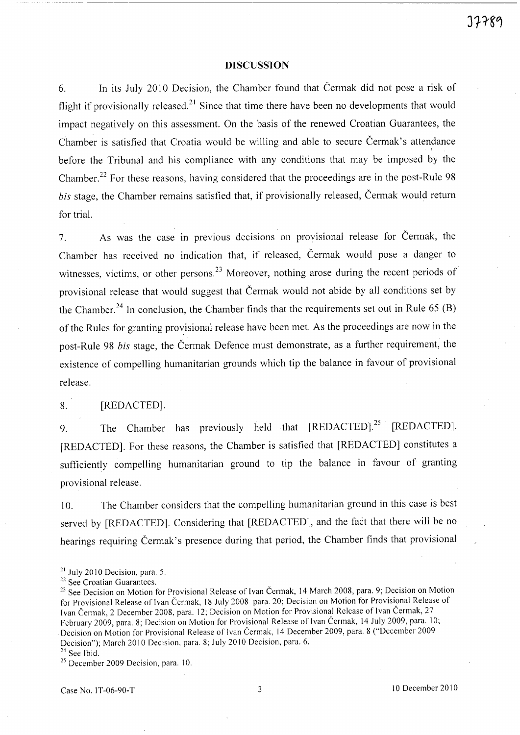## **DISCUSSION**

6. In its July 2010 Decision, the Chamber found that Cermak did not pose a risk of flight if provisionally released.<sup>21</sup> Since that time there have been no developments that would impact negatively on this assessment. On the basis of the renewed Croatian Guarantees, the Chamber is satisfied that Croatia would be willing and able to secure Cermak's attendance before the Tribunal and his compliance with any conditions that may be imposed by the Chamber.<sup>22</sup> For these reasons, having considered that the proceedings are in the post-Rule 98 bis stage, the Chamber remains satisfied that, if provisionally released, Čermak would return for trial.

7. As was the case in previous decisions on provisional release for Čermak, the Chamber has received no indication that, if released, Cermak would pose a danger to witnesses, victims, or other persons.<sup>23</sup> Moreover, nothing arose during the recent periods of provisional release that would suggest that Cermak would not abide by all conditions set by the Chamber.<sup>24</sup> In conclusion, the Chamber finds that the requirements set out in Rule 65 (B) of the Rules for granting provisional release have been met. As the proceedings are now in the post-Rule 98 *bis* stage, the Cermak Defence must demonstrate, as a further requirement, the existence of compelling humanitarian grounds which tip the balance in favour of provisional release.

# 8. [REDACTED].

9. The Chamber has previously held that [REDACTED].<sup>25</sup> [REDACTED]. [REDACTED). For these reasons, the Chamber is satisfied that [REDACTED] constitutes a sufficiently compelling humanitarian ground to tip the balance in favour of granting provisional release.

10. The Chamber considers that the compelling humanitarian ground in this case is best served by [REDACTED]. Considering that [REDACTED], and the fact that there will be no hearings requiring Čermak's presence during that period, the Chamber finds that provisional

<sup>23</sup> See Decision on Motion for Provisional Release of Ivan Čermak, 14 March 2008, para. 9; Decision on Motion for Provisional Release of Ivan Čermak, 18 July 2008 para. 20; Decision on Motion for Provisional Release of Ivan Čermak, 2 December 2008, para. 12; Decision on Motion for Provisional Release of Ivan Čermak, 27 February 2009, para. 8; Decision on Motion for Provisional Release of Ivan Čermak, 14 July 2009, para. 10; Decision on Motion for Provisional Release of Ivan Cermak, 14 December 2009, para. 8 ("December 2009 Decision"); March 2010 Decision, para. 8; July 2010 Decision, para. 6.

 $24$  See Ibid.

<sup>25</sup> December 2009 Decision, para. 10.

 $21$  July 2010 Decision, para. 5.

<sup>&</sup>lt;sup>22</sup> See Croatian Guarantees.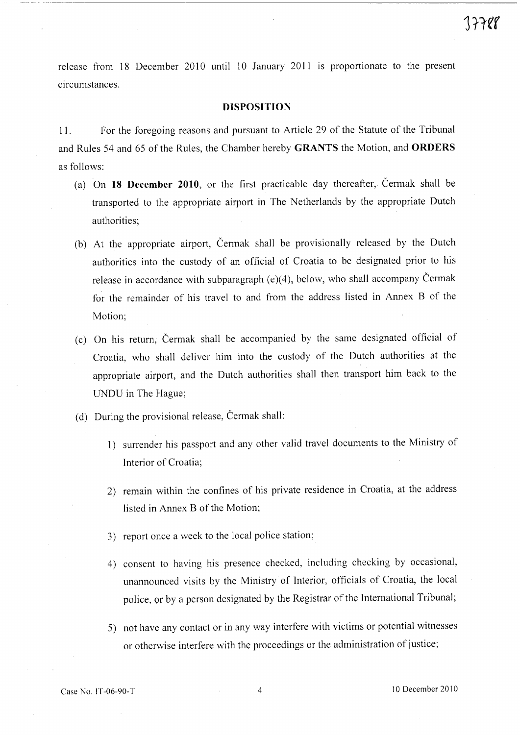release from 18 December 2010 until 10 January 2011 is proportionate to the present circumstances.

#### **DISPOSITION**

11. For the foregoing reasons and pursuant to Article 29 of the Statute of the Tribunal and Rules 54 and 65 of the Rules, the Chamber hereby **GRANTS** the Motion, and **ORDERS**  as follows:

- (a) On **18 December 2010,** or the first practicable day thereafter, Cermak shall be transported to the appropriate airport in The Netherlands by the appropriate Dutch authorities;
- (b) At the appropriate airport, Cermak shall be provisionally released by the Dutch authorities into the custody of an official of Croatia to be designated prior to his release in accordance with subparagraph  $(e)(4)$ , below, who shall accompany Čermak for the remainder of his travel to and from the address listed in Annex B of the Motion;
- (c) On his return, Cermak shall be accompanied by the same designated official of Croatia, who shall deliver him into the custody of the Dutch authorities at the appropriate airport, and the Dutch authorities shall then transport him back to the UNDU in The Hague;
- (d) During the provisional release, Cermak shall:
	- 1) surrender his passport and any other valid travel documents to the Ministry of Interior of Croatia;
	- 2) remain within the confines of his private residence in Croatia, at the address listed in Annex B of the Motion;
	- 3) report once a week to the local police station;
	- 4) consent to having his presence checked, including checking by occasional, unannounced visits by the Ministry of Interior, officials of Croatia, the local police, or by a person designated by the Registrar of the International Tribunal;
	- 5) not have any contact or in any way interfere with victims or potential witnesses or otherwise interfere with the proceedings or the administration of justice;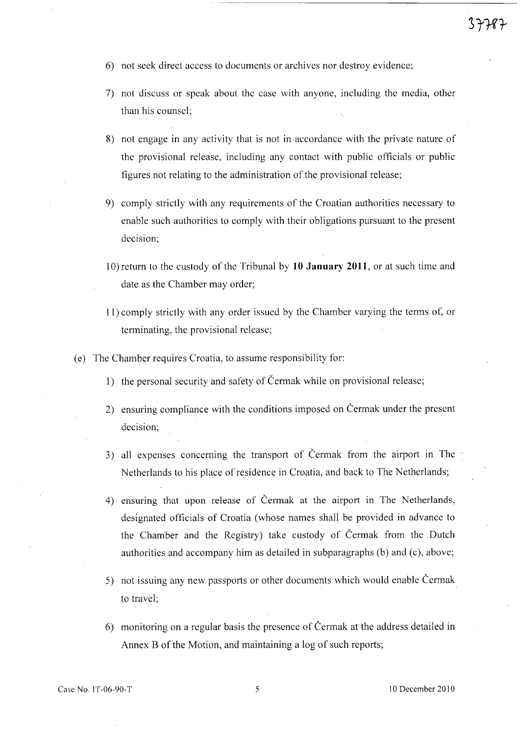- 6) not seek direct access to documents or archives nor destroy evidence;
- 7) not discuss or speak about the case with anyone, including the media, other than his counsel;
- 8) not engage in any activity that is not in accordance with the private nature of the provisional release, including any contact with public officials or public figures not relating to the administration of the provisional release;
- 9) comply strictly with any requirements of the Croatian authorities necessary to enable such authorities to comply with their obligations pursuant to the present decision;
- 10) return to the custody of the Tribunal by **10 January 2011,** or at such time and date as the Chamber may order;
- **11)** comply strictly with any order issued by the Chamber varyirig the terms of, or terminating, the provisional release;
- (e) The Chamber requires Croatia, to assume responsibility for:
	- 1) the personal security and safety of Cermak while on provisional release;
	- 2) ensuring compliance with the conditions imposed on Cermak under the present decision;
	- 3) all expenses concerning the transport of Cermak from the airport in The Netherlands to his place of residence in Croatia, and back to The Netherlands;
	- 4) ensuring that upon release of Cermak at the airport in The Netherlands, designated officials of Croatia (whose names shall be provided in advance to the Chamber and the Registry) take custody of Cermak from the Dutch authorities and accompany him as detailed in subparagraphs (b) and (c), above;
	- 5) not issuing any new passports or other documents which would enable Cermak to travel;
	- 6) monitoring on a regular basis the presence of Cermak at the address detailed in Annex B of the Motion, and maintaining a log of such reports;